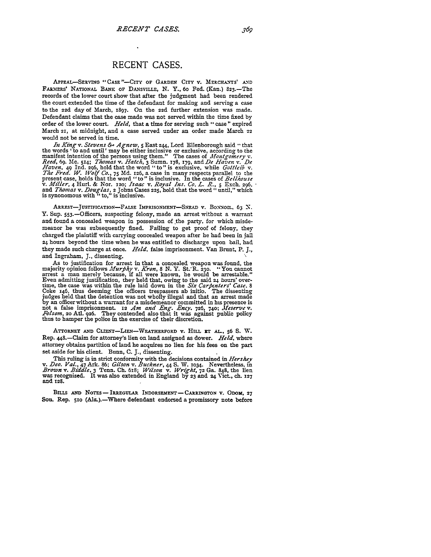## **RECENT CASES.**

APPEAL-SERVING "CASE"-CITY OF GARDEN CITY **v.** MERCHANTS' AND **FAImERS' NATIONAL BANK OF DANSVILLE, N.** Y., **6o** Fed. (Kan.) 823.-The records of the lower court show that after the judgment had been rendered the court extended the time of the defendant for making and serving a case to the **22d** day of March, 1897. On the **22d** further extension was made. Defendant claims that the case made was not served within the time fixed by order of the lower court. *Held,* that a time for serving such "case" expired March **21,** at midnight, and a case served under an order made March 22 would not be served in time.

*In King v. Stevens & Agnew*, 5 East 244, Lord Ellenborough said  $\cdot \cdot$  that the words **'** to and until' may be either inclusive or exclusive, according to the manifest intention of the persons using them." The cases of *Afontgomery v. Reed,* **69.** Me. **514;** *Thomas v. Hatch,* 3 Sumn. **178, 179,** and *De Haven v. De Haven,* 49 Ind. **2g6,** hold that the word "to" is exclusive, while *Gottleib v. The Fred. W. Wolf CO.,* 75 **Md. 126,** a case in many respects parallel to the present case, holds that the word "to" is inclusive. In the cases of Bellhouse<br>v. Miller, 4 Hurl. & Nor. 120; Isaac v. Royal Ins. Co. L. R., 5 Exch. 296,<br>and Thomas v. Douglas, 2 Johns Cases 225, hold that the word "until,

ARREST-JUSTIFICATION-FALSE IMPRISONMENT-SNEAD v. BONNOIL, 63 N. **Y.** Sup. 553.-Officers, suspecting felony, made an arrest without a warrant and found a concealed weapon in possession of the party, for which misdemeanor he was subsequently fined. Failing to get proof of felony, they charged the plaintiff with carrying concealed weapon after he had been in **jail 24** hours beyond the time when he was entitled to discharge upon bail, had they made such charge at once. *Held,* false imprisonment. Van Brunt, P. **J.,** and Ingraham, **J.,** dissenting.

As to justification for arrest in that a concealed weapon was found, the majority opinion follows *Jfur6hy* **v.** *Kron,* **8 N.** Y. St.-R. **230.** "You cannot arrest a man merely because, if all were known, he would be arrestable." Even admitting justification, they held that, owing to the said *24* hours' over- time, the case was within the **rule** laid down in the *Six Carinters' Case. <sup>8</sup>* Coke 146, thus deeming the officers trespassers ab initio. The dissenting judges held that the detention was not wholly illegal and that an arrest made judges held that the detention was not wholly illegal and that an arrest made by an officer without a warrant for a misdemeanor committed in his presence is not a false imprisonment. 12 Am and Eng. Ency. 726, 740; Meserver v.<br>Folsom, 20 Atl. 926. They contended also that it was against public policy<br>thus to hamper the police in the exercise of their discretion.

ATTORNEY **AND CLIENT-LIEN-WEATHERFORD V.** HILL rr AL., **56 S.** W. Rep. 448.-Claim for attorney's lien on land assigned as dower. *Held,* where attorney obtains partition of land he acquires no lien for his fees on the part set aside for his client. Bunn, **C. J.,** dissenting.

This ruling is in strict conformity with the decisions contained in *Hershey*<br>v. Deo. Val., 47 Ark. 86; Gilson v. Buckner, 44 S. W. 1034. Nevertheless, in<br>Brown v. Biddle, 3 Tenn. Ch. 618; Wilson v. Wright, 72 Ga. 848, the and **128.**

BILLS AND NOTES-IRREGULAR INDORSEMENT- CARRINGTON V. ODOM, 27 Son. Rep. **5io** (Ala.).-Where defendant endorsed a promissory note before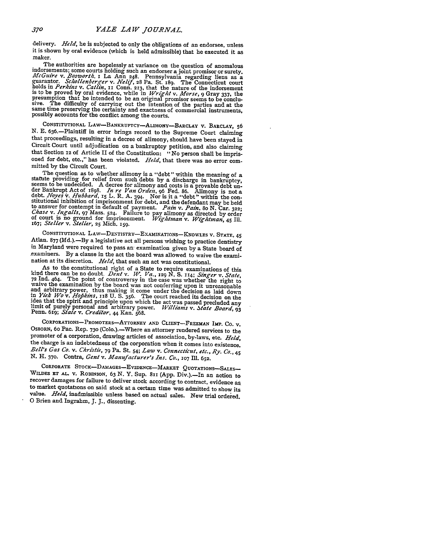delivery. *Held,* he is subjected to only the obligations of an endorsee, unless it is shown **by** oral evidence (which is held admissible) that he executed it as maker.<br>The authorities are hopelessly at variance on the question of anomalous

The authorities are imperessive at variance on the question of anomatom<br>indorsements; some courts holding such an endorser a joint promisor or surety,<br> $McGuire$  v. Bosworth, 1 La Ann 248. Pennsylvania regarding liens as a<br>gua notes in  $I$  ervices v. Catter, 11 Comments, while in  $Write$  and the nature of the conduction presumption that he interioded to be an original promisor seems to be conclusive. The difficulty of carrying out the intention of

CONSTITUTIONAL LAW-BANKRUPTCY-ALIMONY-BARCLAY V. BARCLAY, 56 **N. E.** 636.-Plaintiff in error brings record to the Supreme Court claiming that proceedings, resulting in a decree of alimony, should have been stayed in that Section 12 of Article II of the Constitution: "No person shall be imprisoned for debt, etc.," has been violated. *Held*, that there was no error com-<br>mitted by the Circuit Court.<br>The question as to whether alimony is a "debt" within the meaning of a

statute providing for relief from such debts by a discharge in bankruptcy, seems to be undecided. A decree for alimony and costs is a provable debt under Bankrupt Act of 1898. In  $re$  V an Orden, 96 Fed. 86. Alimony is not Chase v. Ingalls, 97 Mass. 524. Failure to pay alimony as directed by order<br>of court is no ground for imprisonment. Wightman v. Wightman, 45 Ill.<br>167; Steller v. Steller, 25 Mich. 159.

**CONSTITUTIONAL LAw-DENTISTRY-EXAMINATIONS-KNOWLES** v. **STATE,** 45 Atlan. 877 (Md.).-By a legislative act all persons wishing to practice dentistry in Maryland were required to pass an examination given by a State board of .examiners. **By** a clause in the act the board was allowed to waive the exami-

nation at its discretion. *Held*, that such an act was constitutional.<br>As to the constitutional right of a State to require examinations of this kind there can be no doubt. *Dent* v. W. Va., 129 N. S. 114; *Singer* v. *St* wave the examination by the board was not contenting upon it unreasonable and arbitrary power, thus making it come under the decision as laid down in *Yiek Wo* v. *Hopkins*, r18 U. S. 356. The court reached its decision o

CORPORATIONS-PROMOTERs-ATToRNEY **AND CLIENT-FREEMAN** IMP. **CO. v.** OSBORN, 6o Pac. Rep. **730** (Colo.).-Where an attorney rendered services to the promoter of a corporation, drawing articles of association, by-laws, etc. *Held,* the charge is an indebtedness of the corporation when it comes into existence. *Bell's Gas Co. v. Christie,* **79** Pa. St. 54; *Law v. Connecticut, etc., Ry. CO.,* <sup>45</sup> N. H. **370.** Contra, *Gent v. Manufacturer's Ins. Co.,* **107 I1. 652.**

CORPORATE STOCK-DAMAGES-EVIDENCE-MARKET QUOTATIONS-SALES-WILDES ET AL. V. ROBINSON, 63 N. Y. Sup. 811 (App. Div.).--In an action to recover damages for failure to deliver stock according to contract, evidence as to market quotations on said stock at a certain time was admitted to show its value. *Held,* inadmissible unless based **on** actual sales. New trial ordered. O Brien and Ingrahm, **J. J.,** dissenting.

370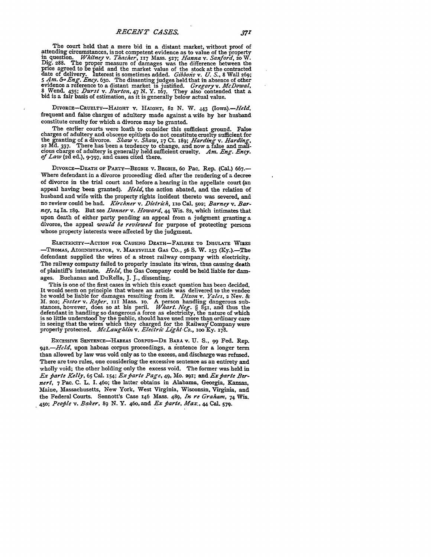The court held that a mere bid in a distant market, without proof of attending circumstances, is not competent evidence as to value of the property attending circumstances, is not competent evidence as to value of the property<br>in question. Whitney v. Thacher, 117 Mass. 527; Hanna v. Sanford, 20 W.<br>Dig. 288. The proper measure of damages was the difference between the price agreed to be paid and the market value of the stock at the contracted date of delivery. Interest is sometimes added. *Gibbons* v. *U*. S., 8 Wall 269; 5 Am. & Eng. Ency. 630. The dissenting judges held that in absenc 5 Ani. System, Line and School and the system of the contract of the contract of the contract of the contract of  $\frac{1}{2}$ . Sweet of a distant market is justified. Gregory v. McDowal, 8 Wend, 435; Durst v. Burton, 47 N. Y

**DIVORCE-CRuELTY-HAIGHT** v. **HAIGHT, 82 N.** W. **443** *(Iowa).-Held,* frequent and false charges of adultery made against a wife **by** her husband constitute cruelty for which a divorce may be granted.

The earlier courts were loath to consider this sufficient ground. False charges of adultery and obscene epithets do not constitute cruelty sufficient for the granting of a divorce. *Shaw* v. Shaw, 17 Ct. 189; *Harding* v. Harding, 22 Md. 337. There has been a tendency to change, and now a false and mali-**22 Md.** 337. There has been a tendency to change, and now **a** false and **mali-**cious charge of adultery is generally held sufficient cruelty. *Am. Eng. Ency. of Law* **(2d** ed.), 9-797, and cases cited there.

DIVORCE-DEATH OF PARTY-BEGBIE **V.** BEGBIE, 60 Pac. Rep. (Cal.) 667.-Where defendant in a divorce proceeding died after the rendering of a decree of divorce in the trial court and before a hearing in the appellate court (an appeal having been granted). *Held,* the action abated, and the relation of husband and wife with the property rights incident thereto was severed, and no review could be had. *Kirchner v. Dietrich*, **IIO Cal. 502;** *Barney v. Barney,* **14** Ia. 189. But see *Donner v. Howard, 44* Wis. **82,** which intimates that upon death of either party pending an appeal from a judgment granting a divorce, the appeal *would be reviewed* for purpose of protecting persons whose property interests were affected **by** the judgment.

ELECTRICITY-ACTION FOR CAUSING DEATH-FAILURE TO INSULATE WIRES -THOMAs, **ADMixISTRATOR, V. MARYSVILLE** GAS Co., **56 S.** W. **x53** (Ky.).-The defendant supplied the wires of a street railway company with electricity. The railway company failed to properly insulate its wires, thus causing death of plaintiff's intestate. *Held,* the Gas Company could be held liable for damages. Buchanan and DuRella, **J. J.,** dissenting.

This is one of the first cases in which this **exact** question has been decided. It would seem on principle that where an article was delivered to the vendee he would be liable for damages resulting from it. *Dixon v. Yales,* 2 Nev. **&** M. 202; *Foster* v. *Roper*, III Mass. 10. A person handling dangerous substances, however, does so at his peril. *Whart. Neg.* § 851, and thus the defendant in handling so dangerous a force as electricity, the nature of which in seeing that the wires which they charged for the Railway Company were properly protected. McLaughlin v. Electric Light Co., 100 Ky. 178.

ExcEssrVm **SENTENCE-HABEAS CORPuS-DE** BARA V. **U. S., 99** Fed. Rep. *<sup>9</sup> <sup>4</sup> 2.-Held,* upon habeas corpus proceedings, a sentence for a longer term than allowed **by** law was void only as to the excess, and discharge was refused. There are two rules, one considering the excessive sentence as an entirety and wholly void; the other holding only the excess void. The former was held in Ex parte Kelly, 65 Cal. 154; *Ex parte Page*, 49, Mo. 291; and *Ex parte Bernert,* 7 Pac. **C.** L. **1.** 460; the latter obtains in Alabama, Georgia, Kansas, Maine, Massachusetts, New York, West Virginia, Wisconsin, Virginia, and the Federal Courts. Sennott's Case **146** Mass. 489, *In re Graham,* 74 Wis. 450; *Peofile v. Baker,* **89 N. Y.** 46o, and *Ex fiarte, Max.,* 44 Cal 579.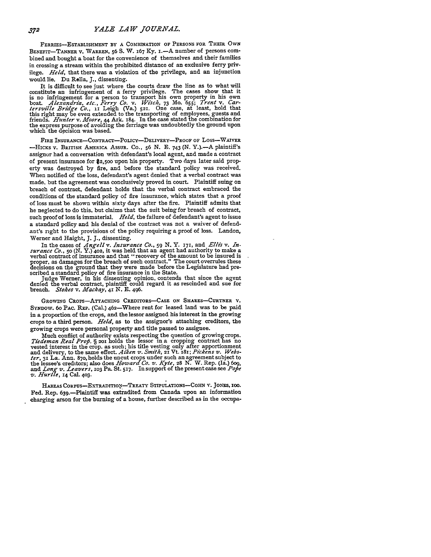FERRIES-ESTABLISHMENT BY A COMBINATION OF PERSONS FOR THEIR OWN BENEFIT-TANNER V. WARREN, **56** S. W. 167 Ky. i.-A number of persons combined and bought a boat for the convenience of themselves and their families in crossing a stream within the prohibited distance of an exclusive ferry privilege. *Held,* that there was a violation of the privilege, and an injunction would lie. Du Rella, **J.,** dissenting.

It is difficult to see just where the courts draw the line as to what will<br>constitute an infringement of a ferry privilege. The cases show that it<br>is no infringement for a person to transport his own properly in his own<br>b

FIRE INSURANCE-CONTRACT-POLICY-DELIVERY-PROOF OF LOSS-WAIVER -HICKS V. BRITISH AMERICA AssuR. Co., **56 N. E.** 743 **(N.** Y.).-A plaintiff's assignor had a conversation with defendant's local agent, and made a contract of present insurance for **\$2,500** upon his property. Two days later said property was destroyed by fire, and before the standard policy was received. When notified of the loss, defendant's agent denied that a verbal contract was made, but the agreement was conclusively proved in court. Plaintiff suing on breach of contract, defendant holds that the verbal contract embraced the conditions of the standard policy of fire insurance, which states that a proof of loss must be shown within sixty days after the fire. Plaintiff admits that he neglected to do this, but claims that the suit being for breach of contract, such proof of loss is immaterial. *Held,* the failure of defendant's agent to issue a standard policy and his denial of the contract was not a waiver of defendant's right to the provisions of the policy requiring a proof of loss. Landon, Werner and Haight, **J. J.,** dissenting.

In the cases of *Angell v. Insurance Co.,* 59 **N.** Y. **171,** and *Ellis v. In. surance Co., 50* **(N.** Y.) **4o2,** it was held that an agent had authority to make a verbal contract of insurance and that "recovery of the amount to be insured is proper, as damages for the breach of such contract." The court overrules these decisions on the ground that **they** were made before the Legislature had prescribed a standard policy of fire insurance in the State.

Judge Werner, in his dissenting opinion, contends that since the agent denied the verbal contract, plaintiff could regard it as rescinded and sue for breach. *Stokes v. Mackay,* **41 N. E.** 496.

GROWING CROPS-ATTACHING **CREDITORS-CASE ON SHARES-CURTNER V.** SYNDow. 6o PAC. REP. (Cal.) 462-Where rent for leased land was to be paid in a proportion of the crops, and the lessor assigned his interest in the growing crops to a third person. *Held,* as to the assignor's attaching creditors, the growing crops were personal property and title passed to assignee.

Much conflict of authority exists respecting the question of growing crops. *Tiedeman Real Prop. §* 2oi holds the lessor in a cropping contract has no vested interest in the crop. as such; his title vesting only after apportionment and delivery, to the same effect. *Aihen v. Smith,* **21** Vt. *181; Pickens v. Webster,* **3** La. Ann. **870,** holds the uncut crops under such an agreement subject to the lessee's creditors; also does *Ho ward Co. v. Kyte,* 28 **N.** W. Rep. (Ia.) 6o9, and *Long v. Leavers. 1o3* Pa. St. **517.** In support of the present case see *Pole v. Hurtle, x4* Cal. **403.**

HABEAS CORPUS-EXTRADrTIO.-TREATY **STIPULATIONS-COHN** V. **JONES, 100.** Fed. Rep. 639.-Plaintiff was extradited from Canada upon an information charging arson for the burning of a house, further described as in the occupa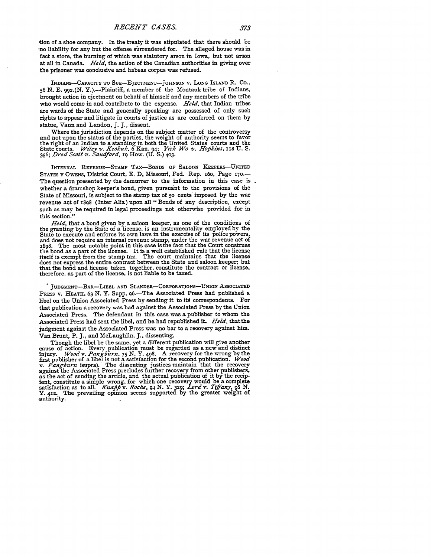tion of a shoe company. In the treaty it was stipulated that there should be -no liability for any but the offense surrendered for. The alleged house was in fact a store, the burning of which was statutory arson in Iowa, but not arson at all in Canada. *Held,* the action of the Canadian authorities in giving over the prisoner was conclusive and habeas corpus was refused.

INDIANS-CAPACITY **TO** SUE-EJECTMENT-JOHNSON V. LONG ISLAND R. Co., 56 N. **E.** 992.(N. Y.).-Plaintiff, a member of the Montauk tribe of Indians, brought action in ejectment on behalf of himself and any members of the tribe who would come in and contribute to the expense. *Held,* that Indian tribes are wards of the State and generally speaking are possessed of only such rights to appear and litigate in courts of justice as are conferred on them by statue, Vann and Landon, J. J., dissent.

Where the jurisdiction depends on the subject matter of the controversy and not upon the status of the parties, the weight of authority seems to favor<br>the right of an Indian to a standing in both the United States courts and the<br>State courts. Wiley v. Keokuk, 6 Kan. 94; *Yick Wo v. Hopkins*, 1

**INTERNAL REVENUE-STAMP** TAx-BONDS **OF** SALOON **K'EEPERS-UNITED STATES** V OWENS, District Court, **E. D,** Missouri, Fed. Rep. i6o, Page **17o.-** The question presented by the demurrer to the information in this case is. whether a dramshop keeper's bond, given pursuant to the provisions of the State of Missouri, is subject to the stamp tax of **5o** cents' imposed by the war revenue act of x898 (Inter Alia) upon all "Bonds of any description, except such as may be required in legal proceedings not otherwise provided for in this section."

*Held,* that a bond given by a saloon keeper, as one of the conditions of the granting by the State of a license, is an instrumentality employed by the State to execute and enforce its own laws in the exercise of its police powers, and does not require an internal revenue stamp, under the war revenue act of 1898. The most notable point in this case is the fact that the Court construes the bond as a part of the license. It is a well established rule t that the bond and license taken together, constitute the contract or license, therefore, as part of the license, is not liable to be taxed.

*JUDGMENT-BAR-LIBEL AND SLANDER-CORPORATIONS-UNION ASSOCIATED* PRESS v. HEATH. 63 **N.** Y. Supp. 96.-The Associated Press had published a libel on the Union Associated Press by sending it to its correspondents. For that publication a recovery was **had** against the Associated Press **by** the Union Associated Press. The defendant in this case was a publisher to whom the Associated Press had sent the libel, and he had republished it. *Held.* that the judgment against the Associated Press was no bar to a recovery against him. Van Brunt, P. **J.,** and McLaughlin, **J.,** dissenting.

Though the libel be the same, yet a different publication will give another cause of action. Every publication must be regarded as a new and distinct<br>injury. Wood v. Pangburn. 75 N. Y. 498. A recovery for the wrong by the<br>first publisher of a libel is not a satisfaction for the second publication. *v. Pangburn* (supra).' The dissenting justices maintain that the recovery against the Associated Press precludes further recovery from other publishers, as the act of sending the article, and the actual publication of it **by** the recipient, constitute a simple wrong, for which one recovery would be a complete satisfaction as to all. *Knapp v. Roche*, 94 N. Y. 329; *Lord v. Tiffany*, 98 N. Y. 412. The prevailing opinion seems supported by the greater wei zauthority.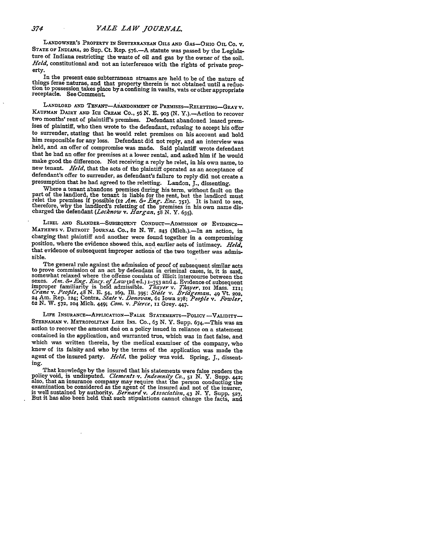LANDOWNER'S PROPERTY **IN** SUBTERRANEAN **OILS AND** GAS-OHIO OIL Co. V. **STATE** OF INDIANA, 20 Sup. Ct. Rep. 576.-A statute was passed by the Legislature of Indiana restricting the waste of oil and gas by the owner of the soil. *Held,* constitutional and not an interference with the rights of private property.

In the present case subterranean streams are held to be of the nature of things ferae naturae, and that property therein is not obtained until a reduction to possession takes place by a confining in vaults, vats or other a

LANDLORD AND TENANT-ABANDONMENT OF PREMISES-RELETTING-GRAY **V.**<br>KAUFMAN DAIRY AND ICE CREAM CO., 56 N. E. 903 (N. Y.).--Action to recover two months' rent of plaintiff's premises. Defendant abandoned leased premises of plaintiff, who then wrote to the defendant, refusing to accept his offer to surrender, stating that he would relet premises on his account and hold him responsible for any loss. Defendant did not reply, and an interview was held, and an offer of compromise was made. Said plaintiff wrote defendant that he had an offer for premises at a lower rental, and asked him if he would make good the difference. Not receiving a reply he relet, in his own name, to new tenant. *Held*, that the acts of the plaintiff operated as an acceptance of defendant's offer to surrender, as defendant's failure to reply

presumption that he had agreed to the reletting. Landon, J., dissenting.<br>Where a tenant abandons premises during his term, without fault on the<br>part of the landlord, the tenant is liable for the rent, but the landlord mus

LIBEL AND SLANDER-SUBSEQUENT CONDUCT-ADMISSION OF EVIDENCE-MATHEWS V. **DETROIT jOURNAL** Co., **82 N.** W. **243** (Mich.).-In an action, in charging that plaintiff and another were found together in a compromising position, where the evidence showed this, and earlier acts of intimacy. *Held,* that evidence of subsequent improper actions of the two together was admissible.

The general rule against the admission of proof of subsequent similar acts<br>to prove commission of an act by defendant in criminal cases, is, it is said,<br>somewhat relaxed where the offense consists of illicit intercourse b

LIFE INSURANCE-APPLICATION-FALSE STATEMENTS-POLICY-VALIDITY-STERNAMAN **v.** METROPOLITAN LIEE INS. Co., 63 N. Y. Supp. 674.—This was an action to recover the amount due on a policy issued in reliance on a statement contained in the application, and warranted true, which was in fact false, and which was written therein, by the medical examiner of the company, who knew of its falsity and who by the terms of the application was made the agent of the insured party. *Held,* the policy was void. Spring, **J.,** dissenting.

That knowledge by the insured that his statements were false renders the policy void, is undisputed. *Clements v. Indemnity Co.*, 51 N. Y. Supp. 442; also, that an insurance company may require that the person conducting

374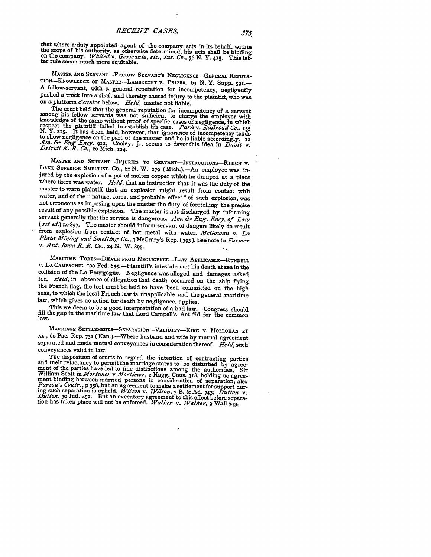that where a duly appointed agent of the company acts in its behalf, within the scope of his authority, as otherwise determined, his acts shall be binding on the company. Whited v. Germania, etc., Ins. Co., 76 N. Y. 415. ter rule seems much more equitable.

MASTER **AND** SERVANT-FELLOW SERVANT'S NEGLIGENCE-GENERAL **REPUTA-TION-KNOWLEDGE** OF MASTER-LAMBRECHT **V. PFIZER, 63 N.** Y. Supp. **59I.- <sup>A</sup>**fellow-servant, with a general reputation for incompetency, negligently pushed a truck into a shaft and thereby caused injury to the plaintiff, who was on a platform elevator below. *Held,* master not liable.

The court held that the general reputation for incompetency of a servant The court near the general reputation for incompetency of a servant<br>among his fellow servants was not sufficient to charge the employer with<br>knowledge of the same without proof of specific cases of negligence, in which<br>re

**MASTER AND SERVANT-INJURIES TO SERVANT-INSTRUCTIONS-RIBICH V.** LAKE SUPERIOR SMELTING Co., 82 N. W. 279 (Mich.).-An employee was injured **by** the explosion of a pot of molten copper which he dumped at a place where there was water. *Held,* that an instruction that it was the duty of the master to **warn** plaintiff that ad explosion might result from contact with water, and of the "nature, force, and probable effect" of such explosion, was not erroneous as imposing upon the master the duty of foretelling the precise result of any possible explosion. The master is not discharged by servant generally that the service is dangerous. *Am. & Eng. Ency. of Law (ist ed.)* 14-897. The master should inform servant of dangers likely to result from explosion from contact of hot metal with water. *McGowan v. La Plata Mining and Smelting Co.,* 3 McCrary's Rep. **(393).** See note to *Farmer v. Ant. Iowa R. R. Co., 24* N. W. **895.**

MARITIME TORTS-DEATH **FROM** NEGLIGENCE-LAw APPLIcABLE-RUNDELL **V. LA CAMPAGNIE, Ioo** Fed. 655.-Plaintiff's intestate met his death at sea in the collision of the La Bourgogne. Negligence was alleged and damages asked for. *Held*, in absence of allegation that death occurred on the ship flying the French flag, the tort must be held to have been committed on the high seas, to which the local French law is unapplicable and the general maritime law, which gives no action for death by negligence, applies.<br>This we deem to be a good interpretation of a bad law. Congress should

fill the gap in the maritime law that Lord Campell's Act did for the common law.

MARRIAGE SETTLEMENTS-SEPARATION-VALIDITY-KING V. MOLLOHAN ET **AL., 60** Pac. Rep. **731** (Kan.).-Where husband and wife by mutual agreement separated and made mutual conveyances in consideration thereof. *Held,* such

conveyances valid in law. and their reluctancy to permit the marriage status to be disturbed by agreement of the parties have led to fine distinctions among the authorities. Sir William Scott in *Mortimer* v *Mortimer*, 2 Hagg. Cous. 318, holding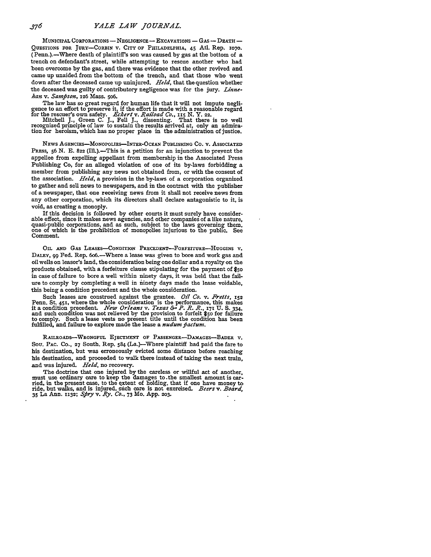MUNICIPAL **CORPORATIONS- NEGLIGENCE - EXCAVATIONS - GAS - DEATH - QUESTIONS FOR JURY-CORBIN** V. **CITY OF PHILADELPHIA,** 45 Atl. Rep. **1070.** (Penn.).-Where death of plaintiff's son was caused **by** gas at the bottom of a trench on defendant's street, while attempting to rescue another who had been overcome **by** the gas, and there was evidence that the other revived and came up unaided from the bottom of the trench, and that those who went down after the deceased came up uninjured. *Held,* that the question whether the deceased was guilty of contributory negligence was for the jury. *Linnehan v. Samfison,* 126 Mass. **5o6.**

The law has so great regard for human life that it will not impute negligence to an effort to preserve it, if the effort is made with a reasonable regard

for the rescuer's own safety. *Eckert* v. Raiload Co., 115 N. Y. 22.<br>Mitchell J., Green C. J., Fell J., dissenting. That there is no well<br>recognized principle of law to sustain the results arrived at, only an admiration for heroism, which has no proper place in the administration of justice.

NEWS AGENCIES-MONOPOLIES-INTE-OCEAN **PUBLISHING CO.** v. **ASSOCIATED** PRESS, 56 N. E. 822 (Ill.).-This is a petition for an injunction to prevent the appellee from expelling appellant from membership in the Associated Press Publishing Co, for an alleged violation of one of its by-laws forbidding a member from publishing any news not obtained from, or with the consent of the association. *Held,* a provision in the by-laws of a corporation organized to gather and sell news to newspapers, and in the contract with the publisher of a newspaper, that one receiving news from it shall not receive news from any other corporation, which its directors shall declare antagonistic to it, is void, as creating a monoply.

If this decision is followed **by** other courts it must surely have considerable effect, since it makes news agencies, and other companies of a like nature, quasi-public corporations, and as such, subject to the laws governing them, one of which is the prohibition of monopolies injurious to the public. See **Comment.**

**OIL** *AND* **GAS LEASES-CoNDITION PRECEDENT-FORFEITURE-HUGGINS V.** DALEY, **99** Fed. Rep. 6o6.-Where a lease was given to bore and work gas and oil wells on leasor's land, the consideration being one dollar and a royalty on the products obtained, with a forfeiture clause stipulating for the payment of **\$50** in case of failure to bore a well within ninety days, it was held that the failure to comply **by** completing a well in ninety days made the lease voidable, this being a condition precedent and the whole consideration.

Such leases are construed against the grantee. *Oil Co. v. Fretts, <sup>152</sup>* Penn. St. **451, where** the whole consideration is the performance, this makes it a condition precedent. *New Orleans v. Texas &- P. R. R.,* **171 U. S.** 334. and such condition was not relieved by the provision to forfeit \$5o for failure to comply. Such a lease vests no present title until the condition has been fulfilled, and failure to explore made the lease a *nudum pactum.*

RAILROADS--WRONGFUL EJECTMeNT OF **PASSENGER-DAMAGES--BADER V.** SOU. **PAC. CO., <sup>27</sup>**South. Rep. 584 (La.)-Where plaintiff had paid the fare to his destination, but was erroneously evicted some distance before reaching his destination, and proceeded to walk there instead of taking the next train, and was injured. *Held,* no recovery.

The doctrine that one injured by the careless or willful act of another, must use ordinary care to keep the damages to the smallest amount is carmust use ordinary care to **keep** the damages to.the smallest amount is car- ried, in the present case, **to the** extent of holding, that if one have money **to** ride, but walks, and is injured, such care is not exercised. *Beers v. Board,* **35** La Ann. **1132;** *Sfiry v. RY. Co.,* 73 Mo. **App. 203.**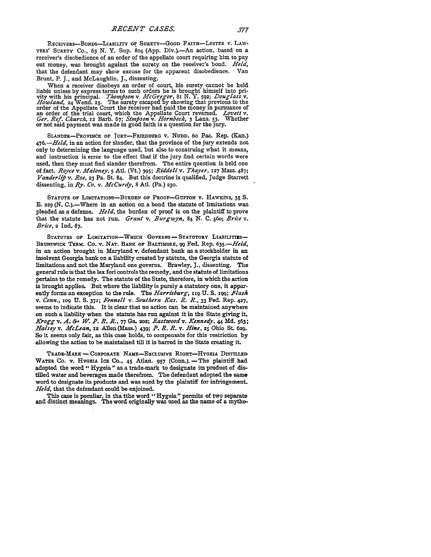RECEIVERs-BONDS-LABILITY OF SUEETY-GoOD FAITH-LESrEx v. LAW-YERS' SURETY Co., 63 N. Y. Sup. 804 (App. Div.).-An action, based on a receiver's disobedience of an order of the appellate court requiring him to pay out money, was brought against the surety on the receiver's bond. *Held,* that the defendant may show excuse for the apparent disobedience. Van Brunt, P. **J.,** and McLaughlin, **J.,** dissenting.

When a receiver disobeys an order of court, his surety cannot be held liable unless by express terms to such orders he is brought himself into privity with his principal. Thompson v. McGregor, 81 N. Y. 592; Douglass v. Howland, 24 Wend. 25. order of the Appellate Court the receiver had paid the money in pursuance of<br>an order of the trial court, which the Appellate Court reversed. Lovett v.<br>Ger. Ref. Church, 12 Barb. 67; Simpson v. Hornbeck, 3 Lans. 53. Whethe

SLANDER-PROVINCE **OF** TURY-FRIEDBURG v. **NUDD, 60** Pac. Rep. **(Kan.)** *476.-Held,* in an action for slander, that the province of the jury extends not only to determining the language used, but also to construing what it means, and instruction is error to the effect that **if** the jury find certain words were used, then they must find slander therefrom. The entire question is held one of fact. *Royce v. Maloney,* **5** AUt. (Vt.) 395; *Riddell v. Thayer,* **127** Mass. 487; *Vanderlifi* v. *Roe,* **23** Pa. St. 84. But this doctrine is qualified, Judge Starrett dissenting, in *Ry. Co. v. McCurdy,* 8 AUt. (Pa.) **230.**

**STATUTE** OF LIMITATIONs-BuRDEN **OF** PROoF-GuPToN v. HAWKIns, **35 S. E. 229 (N.** C.).-Where in an action on a bond the statute **of** limitations was pleaded as a defense. *Held,* the burden of proof is on the plaintiff to prove that the statute has not run. *Grant v. Burgwyn,* 84 **N. C.** 560; *Brice* v. *Brice,* 2 **Ind. 87.**

STATUTES OF LIMITATION-WHICH GOVERNS-STATUTORY LIABILITIES-BR NswICK TERM. Co. v. NAT. BANK OF BALTIMoRE, **99** Fed. Rep. *635.-Held,* in an action brought in Maryland v. defendant bank as a stockholder in an insolvent Georgia bank on a liability created **by** statute, the Georgia statute of limitations and not the Maryland one governs. Brawley, **J.,** dissenting. The general rule is that the **lex** fori controls the remedy, and the statute of limitations pertains to the remedy. The statute of the State, therefore, in which the action is brought applies. But where the liability is purely a statutory one, it apparently forms an exception to the rule. The *Harrisburg*, 119 U. S. 199; *Flash v. Conn.,* **109 U. S. 371;** *Fennell v. Southern Kas. R. R.,* 33 Fed. Rep. **427,** seems to indicate this. It is clear that no action can be maintained anywhere on such a liability when the statute has **run** against it in the State giving it. *Krogg v. A. & W. P. R. R.,* **77** Ga. o2; *Eastwood* **v.** *Kennedy,* 44 **Md. 563;** *Halsey v. McLean,* 12 Allen (Mass.) 439; *P. R. R. v. Hine,* 25 Ohio St. **629.** So it seems only fair, as this case holds, to compensate for this restriction **by** allowing the action to be maintained till it is barred in the State creating it.

TRADE-MARK -- CORPORATE NAME-Exclusive RIGHT-HYGEIA DISTILLED WATER Co. v. HVGEIA ICE Co., 45 Atlan. 957 (Conn.). - The plaintiff had adopted the word" Hygeia" as a trade-mark to designate its product of distilled water and beverages made therefrom. The defendant adopted the same word to designate its products and was sued **by** the plaintiff for infringement. *Held,* that the defendant could be enjoined.

This case is peculiar, in tha tthe word "Hygeia" permits of two separate and distinct meanings. The word originally was used as the name of a mytho